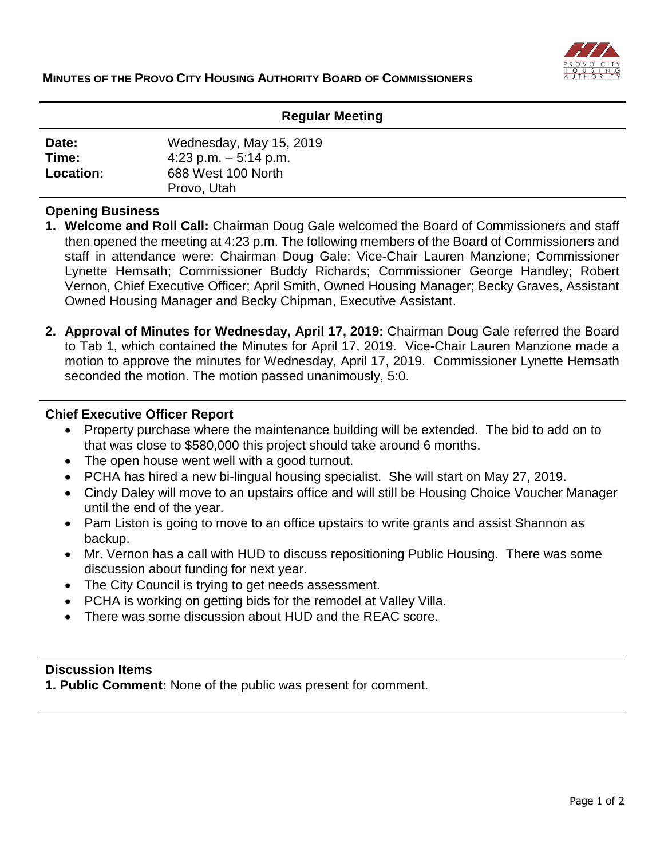

### **Regular Meeting**

| Date:            | Wednesday, May 15, 2019 |  |
|------------------|-------------------------|--|
| Time:            | 4:23 p.m. $-5:14$ p.m.  |  |
| <b>Location:</b> | 688 West 100 North      |  |
|                  | Provo, Utah             |  |

### **Opening Business**

- **1. Welcome and Roll Call:** Chairman Doug Gale welcomed the Board of Commissioners and staff then opened the meeting at 4:23 p.m. The following members of the Board of Commissioners and staff in attendance were: Chairman Doug Gale; Vice-Chair Lauren Manzione; Commissioner Lynette Hemsath; Commissioner Buddy Richards; Commissioner George Handley; Robert Vernon, Chief Executive Officer; April Smith, Owned Housing Manager; Becky Graves, Assistant Owned Housing Manager and Becky Chipman, Executive Assistant.
- **2. Approval of Minutes for Wednesday, April 17, 2019:** Chairman Doug Gale referred the Board to Tab 1, which contained the Minutes for April 17, 2019. Vice-Chair Lauren Manzione made a motion to approve the minutes for Wednesday, April 17, 2019. Commissioner Lynette Hemsath seconded the motion. The motion passed unanimously, 5:0.

#### **Chief Executive Officer Report**

- Property purchase where the maintenance building will be extended. The bid to add on to that was close to \$580,000 this project should take around 6 months.
- The open house went well with a good turnout.
- PCHA has hired a new bi-lingual housing specialist. She will start on May 27, 2019.
- Cindy Daley will move to an upstairs office and will still be Housing Choice Voucher Manager until the end of the year.
- Pam Liston is going to move to an office upstairs to write grants and assist Shannon as backup.
- Mr. Vernon has a call with HUD to discuss repositioning Public Housing. There was some discussion about funding for next year.
- The City Council is trying to get needs assessment.
- PCHA is working on getting bids for the remodel at Valley Villa.
- There was some discussion about HUD and the REAC score.

# **Discussion Items**

**1. Public Comment:** None of the public was present for comment.